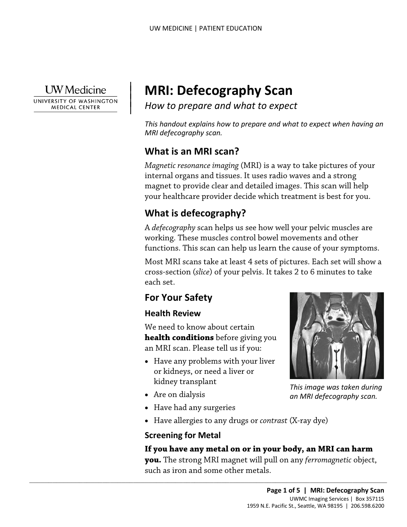

 $\overline{\phantom{a}}$ 

UNIVERSITY OF WASHINGTON **MEDICAL CENTER** 

# | **MRI: Defecography Scan**

*How to prepare and what to expect* | |

*This handout explains how to prepare and what to expect when having an MRI defecography scan.* 

# **What is an MRI scan?**

*Magnetic resonance imaging* (MRI) is a way to take pictures of your internal organs and tissues. It uses radio waves and a strong magnet to provide clear and detailed images. This scan will help your healthcare provider decide which treatment is best for you.

# **What is defecography?**

 A *defecography* scan helps us see how well your pelvic muscles are magnet to provide clear and detailed images. Inis scan will help<br>your healthcare provider decide which treatment is best for you<br>**What is defecography?**<br>A *defecography* scan helps us see how well your pelvic muscles an<br>wo working. These muscles control bowel movements and other functions. This scan can help us learn the cause of your symptoms.

 Most MRI scans take at least 4 sets of pictures. Each set will show a cross-section (*slice*) of your pelvis. It takes 2 to 6 minutes to take each set.

# **For Your Safety**

#### **Health Review**

We need to know about certain **health conditions** before giving you an MRI scan. Please tell us if you:

• Have any problems with your liver or kidneys, or need a liver or kidney transplant

 $\_$  , and the set of the set of the set of the set of the set of the set of the set of the set of the set of the set of the set of the set of the set of the set of the set of the set of the set of the set of the set of th

- Are on dialysis
- Have had any surgeries
- Have allergies to any drugs or *contrast* (X-ray dye)

### **Screening for Metal**

#### **If you have any metal on or in your body, an MRI can harm**

 **you.** The strong MRI magnet will pull on any *ferromagnetic* object, such as iron and some other metals.



*This image was taken during an MRI defecography scan.*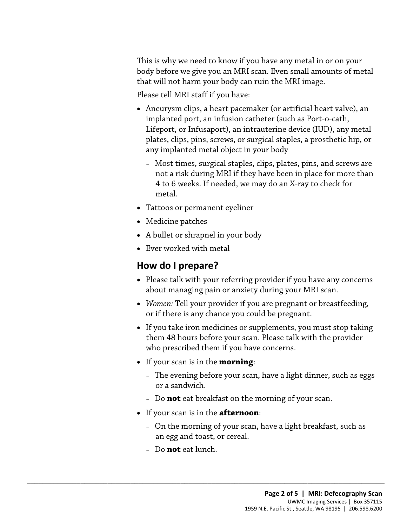This is why we need to know if you have any metal in or on your body before we give you an MRI scan. Even small amounts of metal that will not harm your body can ruin the MRI image.

Please tell MRI staff if you have:

- Aneurysm clips, a heart pacemaker (or artificial heart valve), an implanted port, an infusion catheter (such as Port-o-cath, Lifeport, or Infusaport), an intrauterine device (IUD), any metal plates, clips, pins, screws, or surgical staples, a prosthetic hip, or any implanted metal object in your body
	- Most times, surgical staples, clips, plates, pins, and screws are not a risk during MRI if they have been in place for more than 4 to 6 weeks. If needed, we may do an X-ray to check for metal.
- Tattoos or permanent eyeliner
- Medicine patches
- metal.<br>
Tattoos or permanent eyeliner<br>
Medicine patches<br>
A bullet or shrapnel in your body<br>
Ever worked with metal<br> **How do I prepare?** • A bullet or shrapnel in your body
	- Ever worked with metal

## **How do I prepare?**

- • Please talk with your referring provider if you have any concerns about managing pain or anxiety during your MRI scan.
- *Women:* Tell your provider if you are pregnant or breastfeeding, or if there is any chance you could be pregnant.
- If you take iron medicines or supplements, you must stop taking them 48 hours before your scan. Please talk with the provider who prescribed them if you have concerns.
- If your scan is in the **morning**:
	- The evening before your scan, have a light dinner, such as eggs or a sandwich.
	- Do **not** eat breakfast on the morning of your scan.
- If your scan is in the **afternoon**:

 $\_$  ,  $\_$  ,  $\_$  ,  $\_$  ,  $\_$  ,  $\_$  ,  $\_$  ,  $\_$  ,  $\_$  ,  $\_$  ,  $\_$  ,  $\_$  ,  $\_$  ,  $\_$  ,  $\_$  ,  $\_$  ,  $\_$  ,  $\_$  ,  $\_$  ,  $\_$  ,  $\_$  ,  $\_$  ,  $\_$  ,  $\_$  ,  $\_$  ,  $\_$  ,  $\_$  ,  $\_$  ,  $\_$  ,  $\_$  ,  $\_$  ,  $\_$  ,  $\_$  ,  $\_$  ,  $\_$  ,  $\_$  ,  $\_$  ,

- On the morning of your scan, have a light breakfast, such as an egg and toast, or cereal.
- Do **not** eat lunch.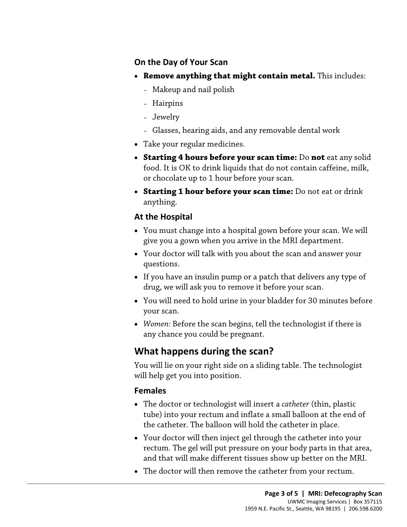#### **On the Day of Your Scan**

- • **Remove anything that might contain metal.** This includes:
	- Makeup and nail polish
	- Hairpins
	- Jewelry
	- Glasses, hearing aids, and any removable dental work
- Take your regular medicines.
- • **Starting 4 hours before your scan time:** Do **not** eat any solid food. It is OK to drink liquids that do not contain caffeine, milk, or chocolate up to 1 hour before your scan.
- **Starting 1 hour before your scan time:** Do not eat or drink anything.

## **At the Hospital**

- **Example 19 I hour Developme Deal Princi** Bo hot car of unine<br>anything.<br>**At the Hospital**<br>• You must change into a hospital gown before your scan. We will<br>give you a gown when you arrive in the MRI department.<br>• Your docto • You must change into a hospital gown before your scan. We will give you a gown when you arrive in the MRI department.
	- Your doctor will talk with you about the scan and answer your questions.
	- drug, we will ask you to remove it before your scan. • If you have an insulin pump or a patch that delivers any type of
	- your scan. • You will need to hold urine in your bladder for 30 minutes before
	- *Women:* Before the scan begins, tell the technologist if there is any chance you could be pregnant.

# **What happens during the scan?**

 $\_$  ,  $\_$  ,  $\_$  ,  $\_$  ,  $\_$  ,  $\_$  ,  $\_$  ,  $\_$  ,  $\_$  ,  $\_$  ,  $\_$  ,  $\_$  ,  $\_$  ,  $\_$  ,  $\_$  ,  $\_$  ,  $\_$  ,  $\_$  ,  $\_$  ,  $\_$  ,  $\_$  ,  $\_$  ,  $\_$  ,  $\_$  ,  $\_$  ,  $\_$  ,  $\_$  ,  $\_$  ,  $\_$  ,  $\_$  ,  $\_$  ,  $\_$  ,  $\_$  ,  $\_$  ,  $\_$  ,  $\_$  ,  $\_$  ,

You will lie on your right side on a sliding table. The technologist will help get you into position.

### **Females**

- • The doctor or technologist will insert a *catheter* (thin, plastic tube) into your rectum and inflate a small balloon at the end of the catheter. The balloon will hold the catheter in place.
- and that will make different tissues show up better on the MRI. • Your doctor will then inject gel through the catheter into your rectum. The gel will put pressure on your body parts in that area,
- The doctor will then remove the catheter from your rectum.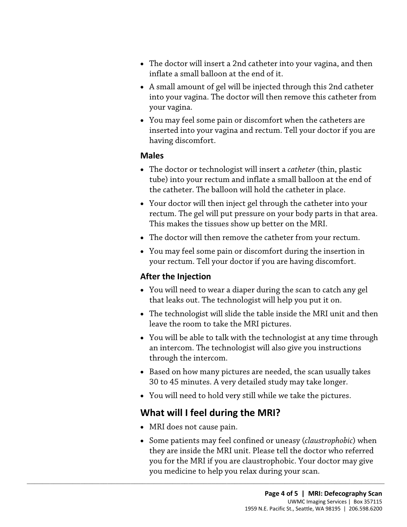- The doctor will insert a 2nd catheter into your vagina, and then inflate a small balloon at the end of it.
- into your vagina. The doctor will then remove this catheter from • A small amount of gel will be injected through this 2nd catheter your vagina.
- You may feel some pain or discomfort when the catheters are inserted into your vagina and rectum. Tell your doctor if you are having discomfort.

#### **Males**

- • The doctor or technologist will insert a *catheter* (thin, plastic tube) into your rectum and inflate a small balloon at the end of the catheter. The balloon will hold the catheter in place.
- This makes the tissues show up better on the MRI. • Your doctor will then inject gel through the catheter into your rectum. The gel will put pressure on your body parts in that area This makes the tissues show up better on the MRI.<br>• The doctor will then remove the cathet • Your doctor will then inject gel through the catheter into your rectum. The gel will put pressure on your body parts in that area.
	- The doctor will then remove the catheter from your rectum.
	- You may feel some pain or discomfort during the insertion in your rectum. Tell your doctor if you are having discomfort.

#### **After the Injection**

- You will need to wear a diaper during the scan to catch any gel that leaks out. The technologist will help you put it on.
- The technologist will slide the table inside the MRI unit and then leave the room to take the MRI pictures.
- You will be able to talk with the technologist at any time through an intercom. The technologist will also give you instructions through the intercom.
- Based on how many pictures are needed, the scan usually takes 30 to 45 minutes. A very detailed study may take longer.
- You will need to hold very still while we take the pictures.

## **What will I feel during the MRI?**

 $\_$  ,  $\_$  ,  $\_$  ,  $\_$  ,  $\_$  ,  $\_$  ,  $\_$  ,  $\_$  ,  $\_$  ,  $\_$  ,  $\_$  ,  $\_$  ,  $\_$  ,  $\_$  ,  $\_$  ,  $\_$  ,  $\_$  ,  $\_$  ,  $\_$  ,  $\_$  ,  $\_$  ,  $\_$  ,  $\_$  ,  $\_$  ,  $\_$  ,  $\_$  ,  $\_$  ,  $\_$  ,  $\_$  ,  $\_$  ,  $\_$  ,  $\_$  ,  $\_$  ,  $\_$  ,  $\_$  ,  $\_$  ,  $\_$  ,

- MRI does not cause pain.
- you medicine to help you relax during your scan. • Some patients may feel confined or uneasy (*claustrophobic*) when they are inside the MRI unit. Please tell the doctor who referred you for the MRI if you are claustrophobic. Your doctor may give